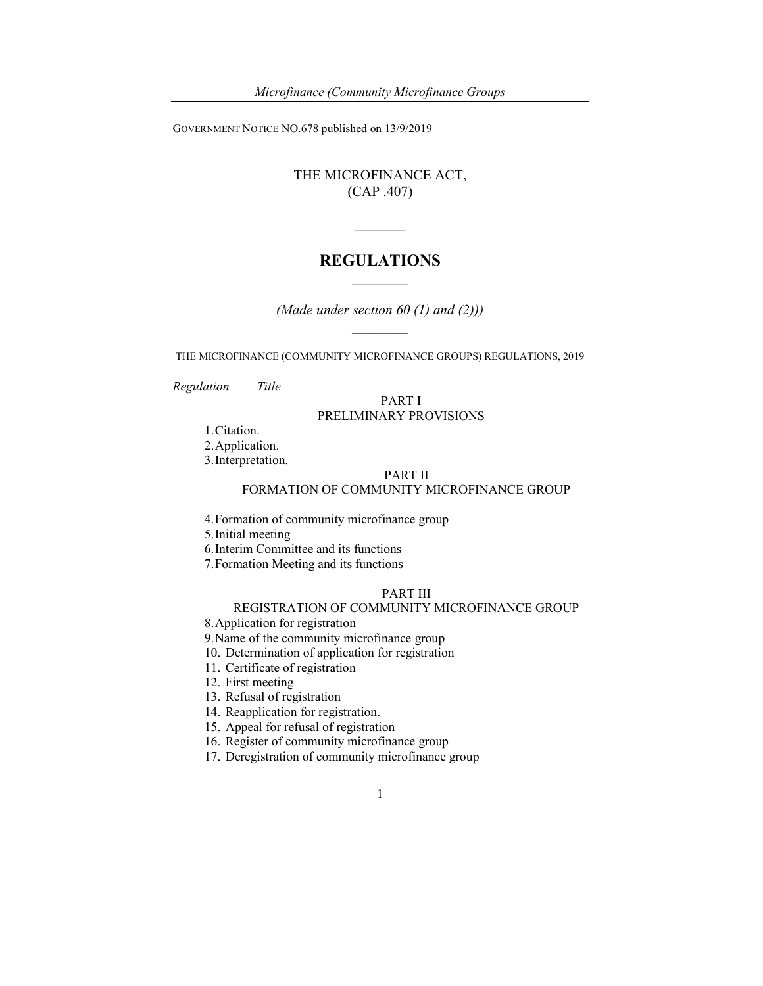GOVERNMENT NOTICE NO.678 published on 13/9/2019

THE MICROFINANCE ACT, (CAP .407)

## REGULATIONS  $\mathcal{L}_\text{max}$

 $\mathcal{L}=\mathcal{L}$ 

(Made under section  $60$  (1) and (2)))  $\mathcal{L}_\text{max}$ 

THE MICROFINANCE (COMMUNITY MICROFINANCE GROUPS) REGULATIONS, 2019

Regulation Title

#### PART I PRELIMINARY PROVISIONS

1.Citation.

2.Application.

3.Interpretation.

#### PART II

### FORMATION OF COMMUNITY MICROFINANCE GROUP

4.Formation of community microfinance group

5.Initial meeting

- 6.Interim Committee and its functions
- 7.Formation Meeting and its functions

#### PART III

#### REGISTRATION OF COMMUNITY MICROFINANCE GROUP

8.Application for registration

- 9.Name of the community microfinance group
- 10. Determination of application for registration
- 11. Certificate of registration
- 12. First meeting

13. Refusal of registration

- 14. Reapplication for registration.
- 15. Appeal for refusal of registration
- 16. Register of community microfinance group
- 17. Deregistration of community microfinance group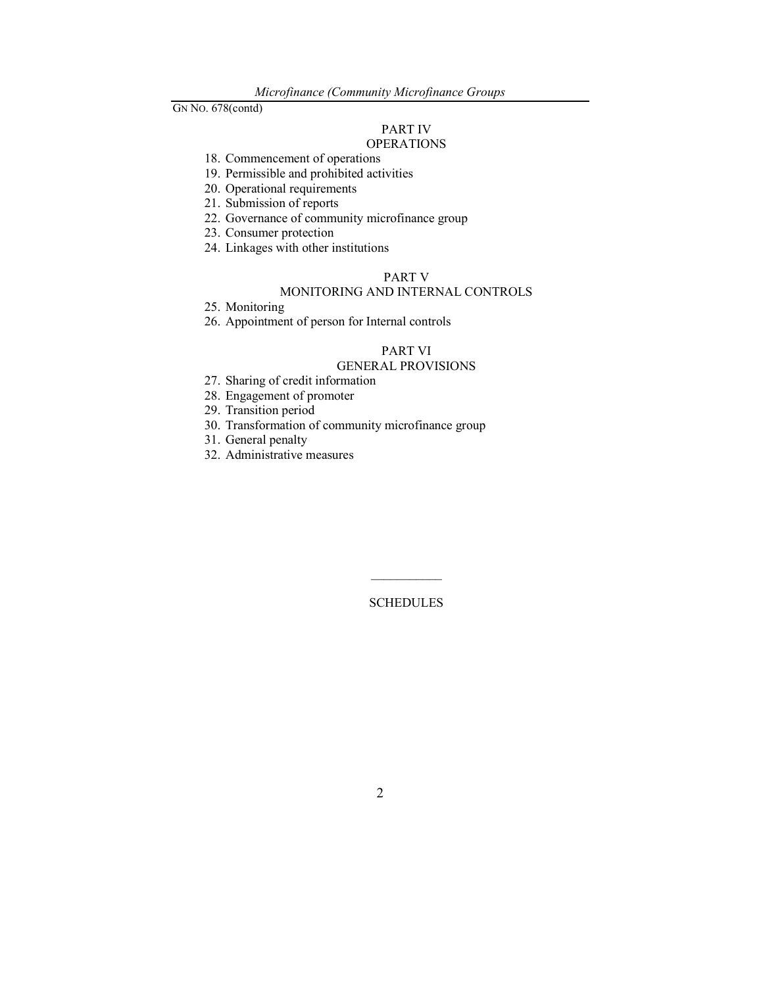# PART IV

# **OPERATIONS**

- 18. Commencement of operations
- 19. Permissible and prohibited activities
- 20. Operational requirements
- 21. Submission of reports
- 22. Governance of community microfinance group
- 23. Consumer protection
- 24. Linkages with other institutions

## PART V

## MONITORING AND INTERNAL CONTROLS

- 25. Monitoring
- 26. Appointment of person for Internal controls

#### PART VI

#### GENERAL PROVISIONS

- 27. Sharing of credit information
- 28. Engagement of promoter
- 29. Transition period
- 30. Transformation of community microfinance group
- 31. General penalty
- 32. Administrative measures

**SCHEDULES**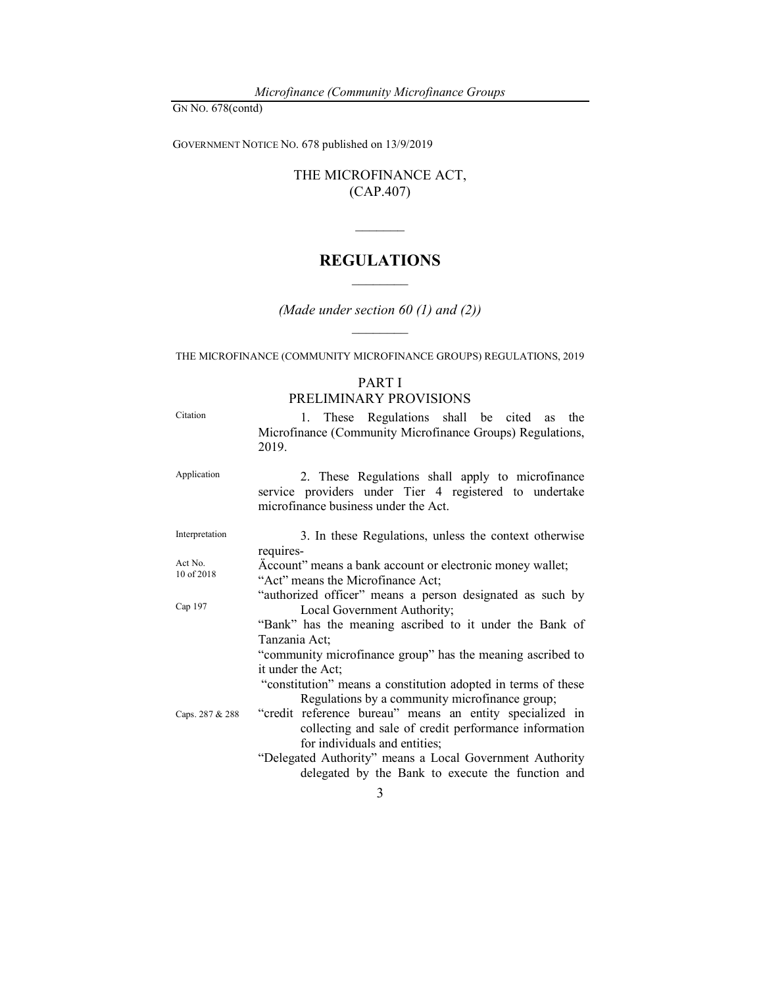GOVERNMENT NOTICE NO. 678 published on 13/9/2019

THE MICROFINANCE ACT, (CAP.407)

## REGULATIONS  $\mathcal{L}_\text{max}$

 $\mathcal{L}=\mathcal{L}$ 

(Made under section 60  $(1)$  and  $(2)$ )  $\mathcal{L}_\text{max}$ 

THE MICROFINANCE (COMMUNITY MICROFINANCE GROUPS) REGULATIONS, 2019

#### PART I PRELIMINARY PROVISIONS

Citation 1. These Regulations shall be cited as the Microfinance (Community Microfinance Groups) Regulations, 2019. Application 2. These Regulations shall apply to microfinance service providers under Tier 4 registered to undertake microfinance business under the Act. Interpretation 3. In these Regulations, unless the context otherwise requires-Act No. 10 of 2018 Cap 197 Caps. 287 & 288 Äccount" means a bank account or electronic money wallet; "Act" means the Microfinance Act; "authorized officer" means a person designated as such by Local Government Authority; "Bank" has the meaning ascribed to it under the Bank of Tanzania Act; "community microfinance group" has the meaning ascribed to it under the Act; "constitution" means a constitution adopted in terms of these Regulations by a community microfinance group; "credit reference bureau" means an entity specialized in collecting and sale of credit performance information for individuals and entities; "Delegated Authority" means a Local Government Authority delegated by the Bank to execute the function and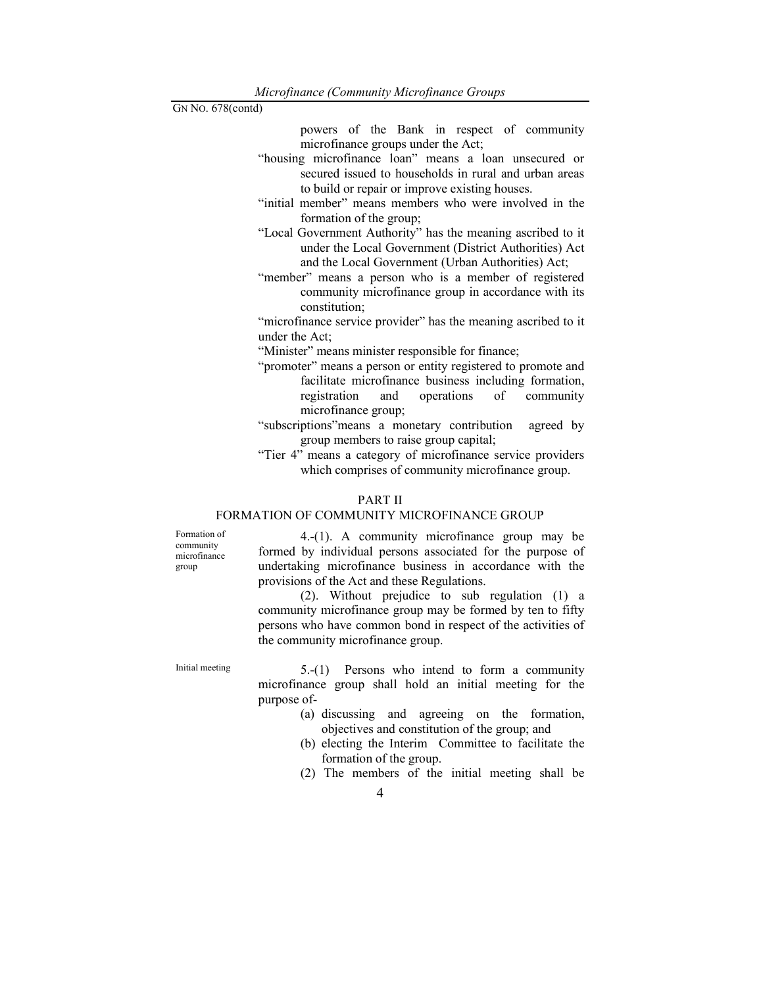powers of the Bank in respect of community microfinance groups under the Act;

- "housing microfinance loan" means a loan unsecured or secured issued to households in rural and urban areas to build or repair or improve existing houses.
- "initial member" means members who were involved in the formation of the group;
- "Local Government Authority" has the meaning ascribed to it under the Local Government (District Authorities) Act and the Local Government (Urban Authorities) Act;
- "member" means a person who is a member of registered community microfinance group in accordance with its constitution;

"microfinance service provider" has the meaning ascribed to it under the Act;

"Minister" means minister responsible for finance;

"promoter" means a person or entity registered to promote and facilitate microfinance business including formation,<br>registration and operations of community registration and operations of community microfinance group;

"subscriptions"means a monetary contribution agreed by group members to raise group capital;

"Tier 4" means a category of microfinance service providers which comprises of community microfinance group.

### PART II

### FORMATION OF COMMUNITY MICROFINANCE GROUP

Formation of community microfinance group

 4.-(1). A community microfinance group may be formed by individual persons associated for the purpose of undertaking microfinance business in accordance with the provisions of the Act and these Regulations.

 (2). Without prejudice to sub regulation (1) a community microfinance group may be formed by ten to fifty persons who have common bond in respect of the activities of the community microfinance group.

Initial meeting  $5-(1)$  Persons who intend to form a community microfinance group shall hold an initial meeting for the purpose of-

- (a) discussing and agreeing on the formation, objectives and constitution of the group; and
- (b) electing the Interim Committee to facilitate the formation of the group.
- (2) The members of the initial meeting shall be
	- 4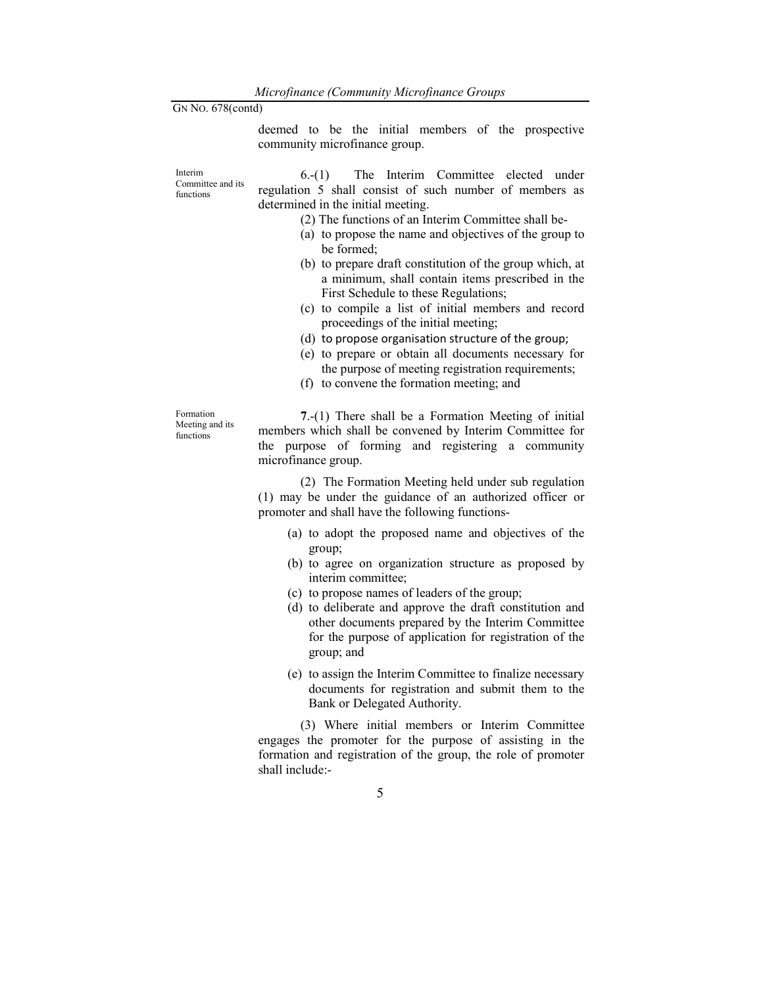deemed to be the initial members of the prospective community microfinance group.

Interim Committee and its functions 6.-(1) The Interim Committee elected under regulation 5 shall consist of such number of members as determined in the initial meeting. (2) The functions of an Interim Committee shall be-

- (a) to propose the name and objectives of the group to be formed;
- (b) to prepare draft constitution of the group which, at a minimum, shall contain items prescribed in the First Schedule to these Regulations;
- (c) to compile a list of initial members and record proceedings of the initial meeting;
- (d) to propose organisation structure of the group;
- (e) to prepare or obtain all documents necessary for the purpose of meeting registration requirements;
- (f) to convene the formation meeting; and

Formation Meeting and its functions

7.-(1) There shall be a Formation Meeting of initial members which shall be convened by Interim Committee for the purpose of forming and registering a community microfinance group.

 (2) The Formation Meeting held under sub regulation (1) may be under the guidance of an authorized officer or promoter and shall have the following functions-

- (a) to adopt the proposed name and objectives of the group;
- (b) to agree on organization structure as proposed by interim committee;
- (c) to propose names of leaders of the group;
- (d) to deliberate and approve the draft constitution and other documents prepared by the Interim Committee for the purpose of application for registration of the group; and
- (e) to assign the Interim Committee to finalize necessary documents for registration and submit them to the Bank or Delegated Authority.

 (3) Where initial members or Interim Committee engages the promoter for the purpose of assisting in the formation and registration of the group, the role of promoter shall include:-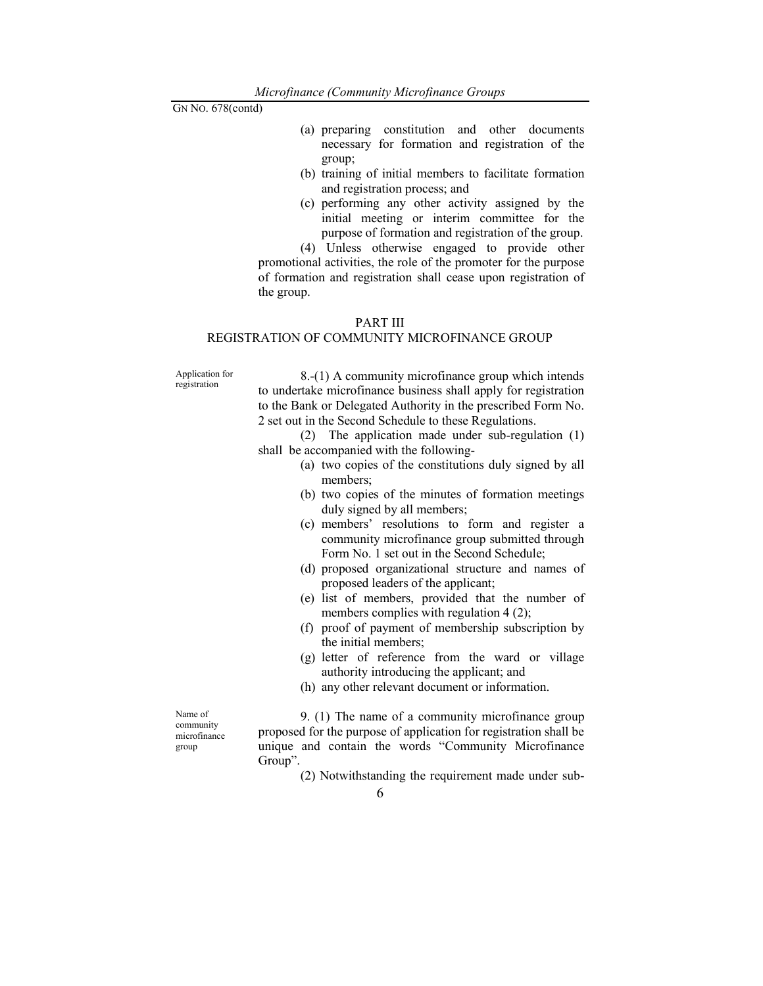- (a) preparing constitution and other documents necessary for formation and registration of the group;
- (b) training of initial members to facilitate formation and registration process; and
- (c) performing any other activity assigned by the initial meeting or interim committee for the purpose of formation and registration of the group.

 (4) Unless otherwise engaged to provide other promotional activities, the role of the promoter for the purpose of formation and registration shall cease upon registration of the group.

#### PART III

## REGISTRATION OF COMMUNITY MICROFINANCE GROUP

Application for registration

 8.-(1) A community microfinance group which intends to undertake microfinance business shall apply for registration to the Bank or Delegated Authority in the prescribed Form No. 2 set out in the Second Schedule to these Regulations.

 (2) The application made under sub-regulation (1) shall be accompanied with the following-

- (a) two copies of the constitutions duly signed by all members;
	- (b) two copies of the minutes of formation meetings duly signed by all members;
	- (c) members' resolutions to form and register a community microfinance group submitted through Form No. 1 set out in the Second Schedule;
	- (d) proposed organizational structure and names of proposed leaders of the applicant;
	- (e) list of members, provided that the number of members complies with regulation 4 (2);
	- (f) proof of payment of membership subscription by the initial members;
	- (g) letter of reference from the ward or village authority introducing the applicant; and
	- (h) any other relevant document or information.

Name of community microfinance group

 9. (1) The name of a community microfinance group proposed for the purpose of application for registration shall be unique and contain the words "Community Microfinance Group".

(2) Notwithstanding the requirement made under sub-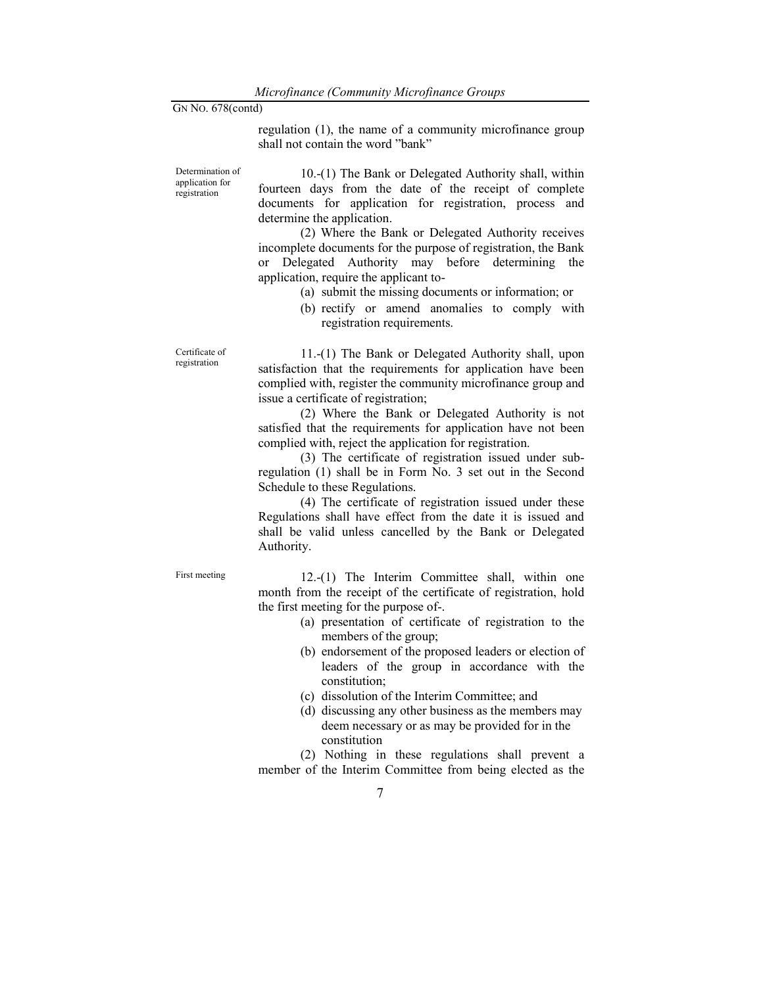regulation (1), the name of a community microfinance group shall not contain the word "bank"

Determination of application for registration

 10.-(1) The Bank or Delegated Authority shall, within fourteen days from the date of the receipt of complete documents for application for registration, process and determine the application.

 (2) Where the Bank or Delegated Authority receives incomplete documents for the purpose of registration, the Bank or Delegated Authority may before determining the application, require the applicant to-

- (a) submit the missing documents or information; or
- (b) rectify or amend anomalies to comply with registration requirements.

Certificate of registration

 11.-(1) The Bank or Delegated Authority shall, upon satisfaction that the requirements for application have been complied with, register the community microfinance group and issue a certificate of registration;

 (2) Where the Bank or Delegated Authority is not satisfied that the requirements for application have not been complied with, reject the application for registration.

 (3) The certificate of registration issued under subregulation (1) shall be in Form No. 3 set out in the Second Schedule to these Regulations.

 (4) The certificate of registration issued under these Regulations shall have effect from the date it is issued and shall be valid unless cancelled by the Bank or Delegated Authority.

First meeting 12.-(1) The Interim Committee shall, within one month from the receipt of the certificate of registration, hold the first meeting for the purpose of-.

- (a) presentation of certificate of registration to the members of the group;
- (b) endorsement of the proposed leaders or election of leaders of the group in accordance with the constitution;
- (c) dissolution of the Interim Committee; and
- (d) discussing any other business as the members may deem necessary or as may be provided for in the constitution

 (2) Nothing in these regulations shall prevent a member of the Interim Committee from being elected as the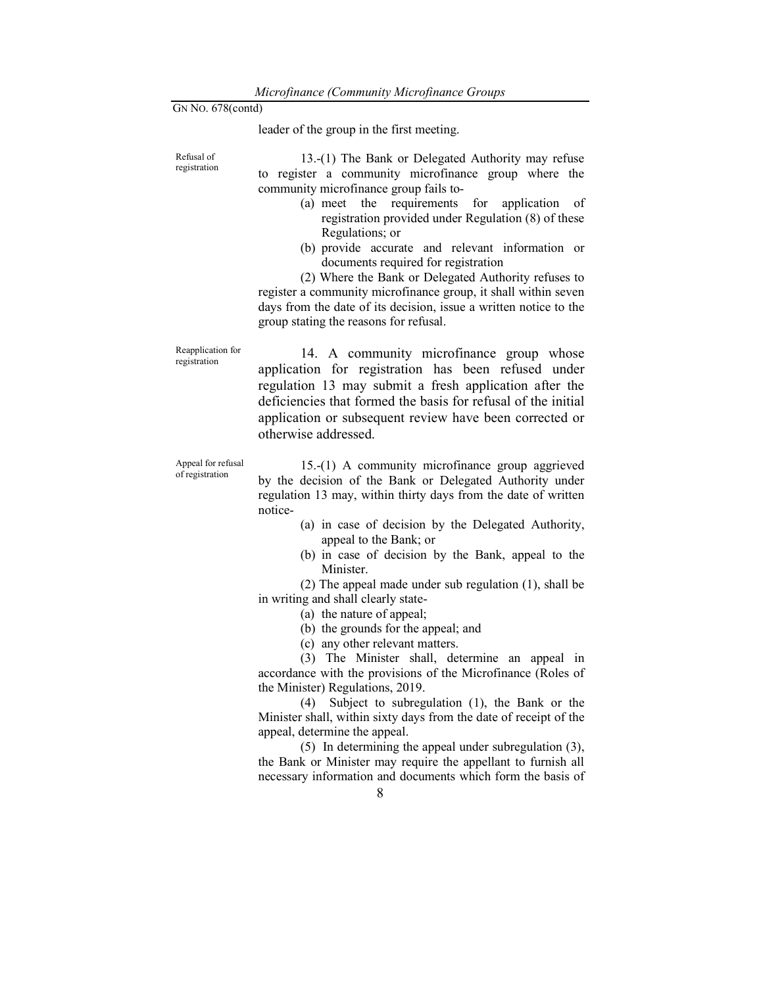Refusal of registration leader of the group in the first meeting.

 13.-(1) The Bank or Delegated Authority may refuse to register a community microfinance group where the community microfinance group fails to- (a) meet the requirements for application of registration provided under Regulation (8) of these Regulations; or (b) provide accurate and relevant information or documents required for registration (2) Where the Bank or Delegated Authority refuses to register a community microfinance group, it shall within seven

days from the date of its decision, issue a written notice to the group stating the reasons for refusal.

Reapplication for registration 14. A community microfinance group whose application for registration has been refused under regulation 13 may submit a fresh application after the deficiencies that formed the basis for refusal of the initial application or subsequent review have been corrected or otherwise addressed.

Appeal for refusal of registration 15.-(1) A community microfinance group aggrieved by the decision of the Bank or Delegated Authority under regulation 13 may, within thirty days from the date of written notice-

- (a) in case of decision by the Delegated Authority, appeal to the Bank; or
- (b) in case of decision by the Bank, appeal to the Minister.

 (2) The appeal made under sub regulation (1), shall be in writing and shall clearly state-

- (a) the nature of appeal;
- (b) the grounds for the appeal; and
- (c) any other relevant matters.

 (3) The Minister shall, determine an appeal in accordance with the provisions of the Microfinance (Roles of the Minister) Regulations, 2019.

 (4) Subject to subregulation (1), the Bank or the Minister shall, within sixty days from the date of receipt of the appeal, determine the appeal.

 (5) In determining the appeal under subregulation (3), the Bank or Minister may require the appellant to furnish all necessary information and documents which form the basis of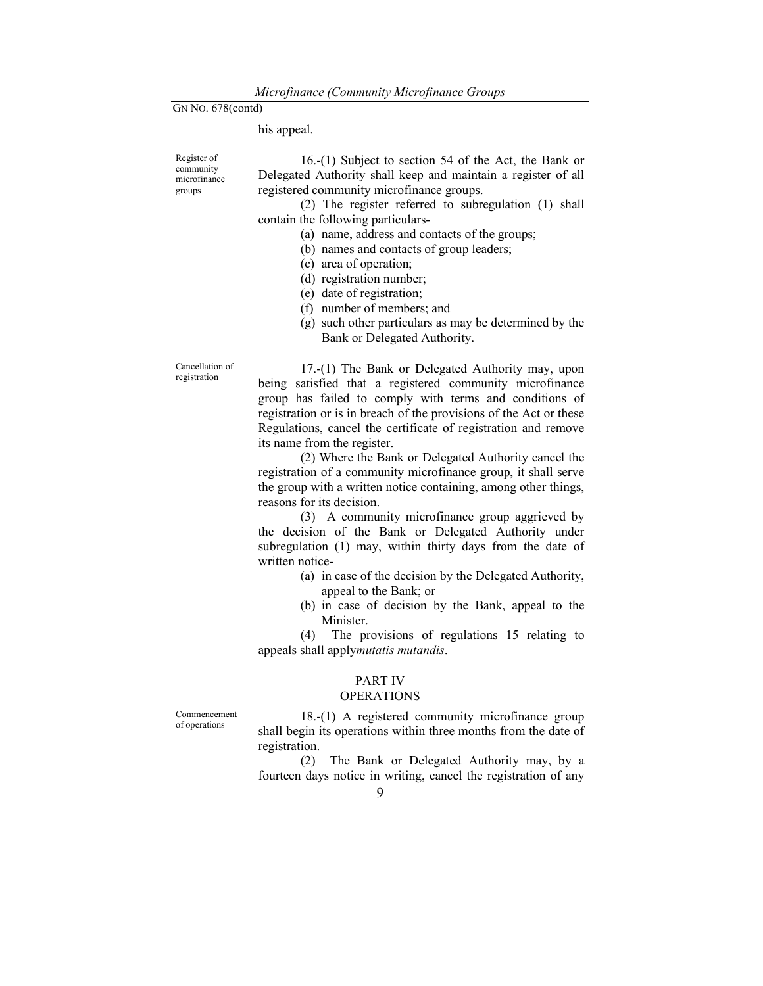his appeal.

Register of community microfinance groups

 16.-(1) Subject to section 54 of the Act, the Bank or Delegated Authority shall keep and maintain a register of all registered community microfinance groups.

 (2) The register referred to subregulation (1) shall contain the following particulars-

(a) name, address and contacts of the groups;

- (b) names and contacts of group leaders;
- (c) area of operation;
- (d) registration number;
- (e) date of registration;
- (f) number of members; and
- (g) such other particulars as may be determined by the Bank or Delegated Authority.

Cancellation of registration

 17.-(1) The Bank or Delegated Authority may, upon being satisfied that a registered community microfinance group has failed to comply with terms and conditions of registration or is in breach of the provisions of the Act or these Regulations, cancel the certificate of registration and remove its name from the register.

 (2) Where the Bank or Delegated Authority cancel the registration of a community microfinance group, it shall serve the group with a written notice containing, among other things, reasons for its decision.

 (3) A community microfinance group aggrieved by the decision of the Bank or Delegated Authority under subregulation (1) may, within thirty days from the date of written notice-

- (a) in case of the decision by the Delegated Authority, appeal to the Bank; or
- (b) in case of decision by the Bank, appeal to the Minister.

 (4) The provisions of regulations 15 relating to appeals shall applymutatis mutandis.

## PART IV

#### **OPERATIONS**

Commencement of operations

 18.-(1) A registered community microfinance group shall begin its operations within three months from the date of registration.

 (2) The Bank or Delegated Authority may, by a fourteen days notice in writing, cancel the registration of any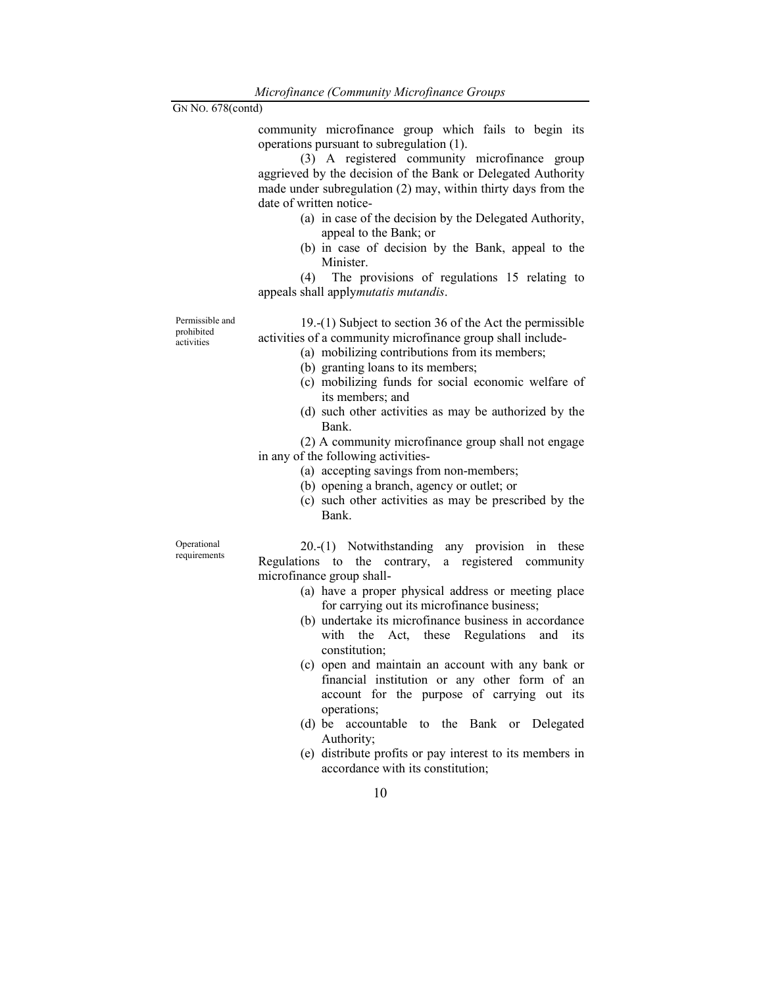community microfinance group which fails to begin its operations pursuant to subregulation (1).

 (3) A registered community microfinance group aggrieved by the decision of the Bank or Delegated Authority made under subregulation (2) may, within thirty days from the date of written notice-

- (a) in case of the decision by the Delegated Authority, appeal to the Bank; or
- (b) in case of decision by the Bank, appeal to the Minister.

 (4) The provisions of regulations 15 relating to appeals shall applymutatis mutandis.

Permissible and prohibited **activities** 

 19.-(1) Subject to section 36 of the Act the permissible activities of a community microfinance group shall include-

- (a) mobilizing contributions from its members;
- (b) granting loans to its members;
- (c) mobilizing funds for social economic welfare of its members; and
- (d) such other activities as may be authorized by the Bank.

 (2) A community microfinance group shall not engage in any of the following activities-

- (a) accepting savings from non-members;
- (b) opening a branch, agency or outlet; or
- (c) such other activities as may be prescribed by the Bank.

Operational

requirements

 20.-(1) Notwithstanding any provision in these Regulations to the contrary, a registered community microfinance group shall-

- (a) have a proper physical address or meeting place for carrying out its microfinance business;
- (b) undertake its microfinance business in accordance with the Act, these Regulations and its constitution;
- (c) open and maintain an account with any bank or financial institution or any other form of an account for the purpose of carrying out its operations;
- (d) be accountable to the Bank or Delegated Authority;
- (e) distribute profits or pay interest to its members in accordance with its constitution;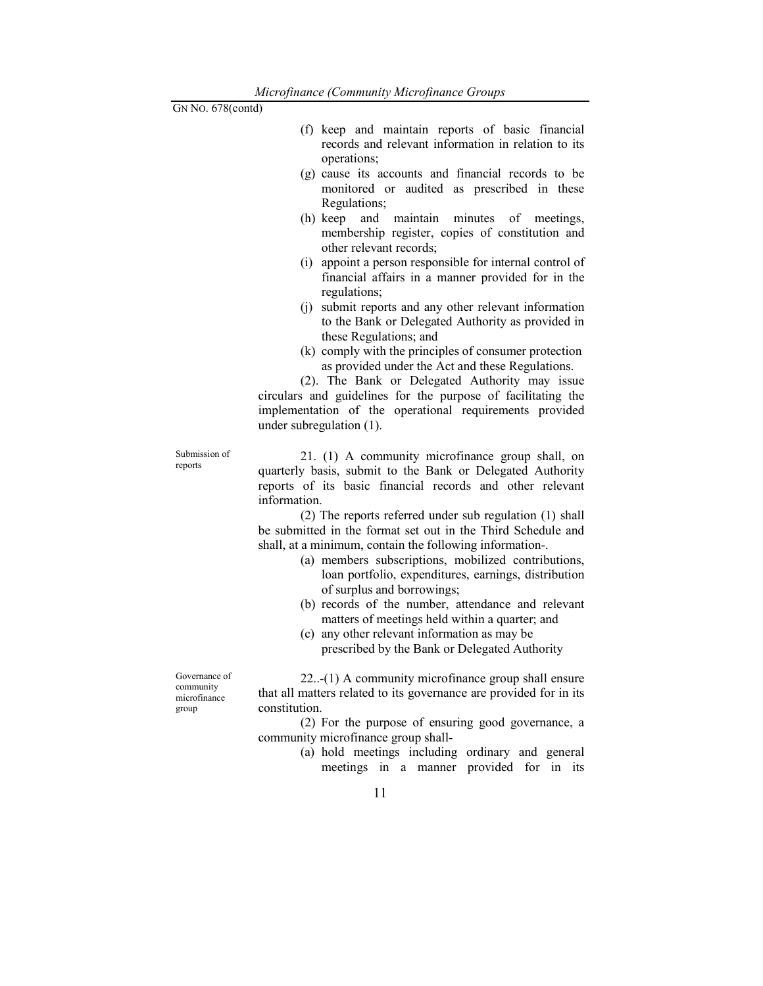- (f) keep and maintain reports of basic financial records and relevant information in relation to its operations;
- (g) cause its accounts and financial records to be monitored or audited as prescribed in these Regulations;
- (h) keep and maintain minutes of meetings, membership register, copies of constitution and other relevant records;
- (i) appoint a person responsible for internal control of financial affairs in a manner provided for in the regulations;
- (j) submit reports and any other relevant information to the Bank or Delegated Authority as provided in these Regulations; and
- (k) comply with the principles of consumer protection as provided under the Act and these Regulations.

 (2). The Bank or Delegated Authority may issue circulars and guidelines for the purpose of facilitating the implementation of the operational requirements provided under subregulation (1).

Submission of reports

 21. (1) A community microfinance group shall, on quarterly basis, submit to the Bank or Delegated Authority reports of its basic financial records and other relevant information.

 (2) The reports referred under sub regulation (1) shall be submitted in the format set out in the Third Schedule and shall, at a minimum, contain the following information-.

- (a) members subscriptions, mobilized contributions, loan portfolio, expenditures, earnings, distribution of surplus and borrowings;
- (b) records of the number, attendance and relevant matters of meetings held within a quarter; and
- (c) any other relevant information as may be prescribed by the Bank or Delegated Authority

 22..-(1) A community microfinance group shall ensure that all matters related to its governance are provided for in its constitution.

 (2) For the purpose of ensuring good governance, a community microfinance group shall-

> (a) hold meetings including ordinary and general meetings in a manner provided for in its

Governance of community microfinance group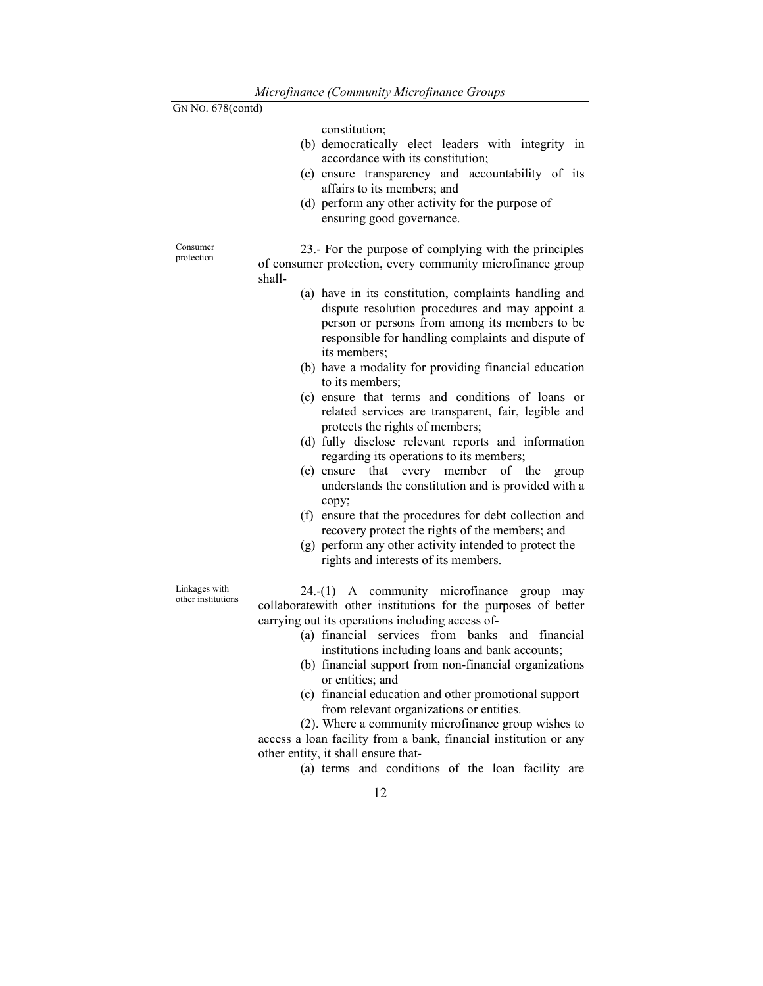| GN No. 678(contd)      |        |                                                                                                                                                                                                                                                                                |
|------------------------|--------|--------------------------------------------------------------------------------------------------------------------------------------------------------------------------------------------------------------------------------------------------------------------------------|
|                        |        | constitution;<br>(b) democratically elect leaders with integrity in<br>accordance with its constitution;<br>(c) ensure transparency and accountability of its<br>affairs to its members; and<br>(d) perform any other activity for the purpose of<br>ensuring good governance. |
| Consumer<br>protection | shall- | 23.- For the purpose of complying with the principles<br>of consumer protection, every community microfinance group                                                                                                                                                            |
|                        |        | (a) have in its constitution, complaints handling and<br>dispute resolution procedures and may appoint a<br>person or persons from among its members to be<br>responsible for handling complaints and dispute of<br>its members;                                               |
|                        |        | (b) have a modality for providing financial education<br>to its members;                                                                                                                                                                                                       |
|                        |        | (c) ensure that terms and conditions of loans or<br>related services are transparent, fair, legible and<br>protects the rights of members;                                                                                                                                     |
|                        |        | (d) fully disclose relevant reports and information<br>regarding its operations to its members;                                                                                                                                                                                |

(e) ensure that every member of the group understands the constitution and is provided with a copy;

- (f) ensure that the procedures for debt collection and recovery protect the rights of the members; and
- (g) perform any other activity intended to protect the rights and interests of its members.

Linkages with other institutions

 24.-(1) A community microfinance group may collaboratewith other institutions for the purposes of better carrying out its operations including access of-

- (a) financial services from banks and financial institutions including loans and bank accounts;
- (b) financial support from non-financial organizations or entities; and
- (c) financial education and other promotional support from relevant organizations or entities.

 (2). Where a community microfinance group wishes to access a loan facility from a bank, financial institution or any other entity, it shall ensure that-

(a) terms and conditions of the loan facility are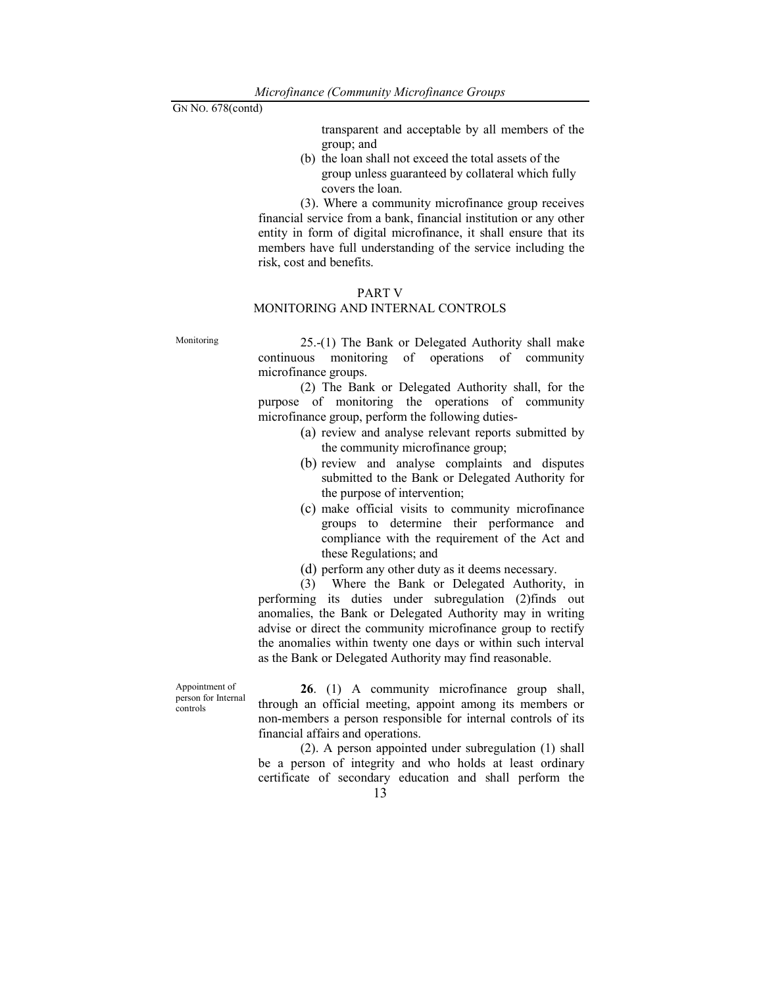transparent and acceptable by all members of the group; and

(b) the loan shall not exceed the total assets of the group unless guaranteed by collateral which fully covers the loan.

(3). Where a community microfinance group receives financial service from a bank, financial institution or any other entity in form of digital microfinance, it shall ensure that its members have full understanding of the service including the risk, cost and benefits.

#### PART V

#### MONITORING AND INTERNAL CONTROLS

Monitoring 25.-(1) The Bank or Delegated Authority shall make continuous monitoring of operations of community microfinance groups.

> (2) The Bank or Delegated Authority shall, for the purpose of monitoring the operations of community microfinance group, perform the following duties-

- (a) review and analyse relevant reports submitted by the community microfinance group;
- (b) review and analyse complaints and disputes submitted to the Bank or Delegated Authority for the purpose of intervention;
- (c) make official visits to community microfinance groups to determine their performance and compliance with the requirement of the Act and these Regulations; and
- (d) perform any other duty as it deems necessary.

 (3) Where the Bank or Delegated Authority, in performing its duties under subregulation (2)finds out anomalies, the Bank or Delegated Authority may in writing advise or direct the community microfinance group to rectify the anomalies within twenty one days or within such interval as the Bank or Delegated Authority may find reasonable.

Appointment of person for Internal controls

26. (1) A community microfinance group shall, through an official meeting, appoint among its members or non-members a person responsible for internal controls of its financial affairs and operations.

 (2). A person appointed under subregulation (1) shall be a person of integrity and who holds at least ordinary certificate of secondary education and shall perform the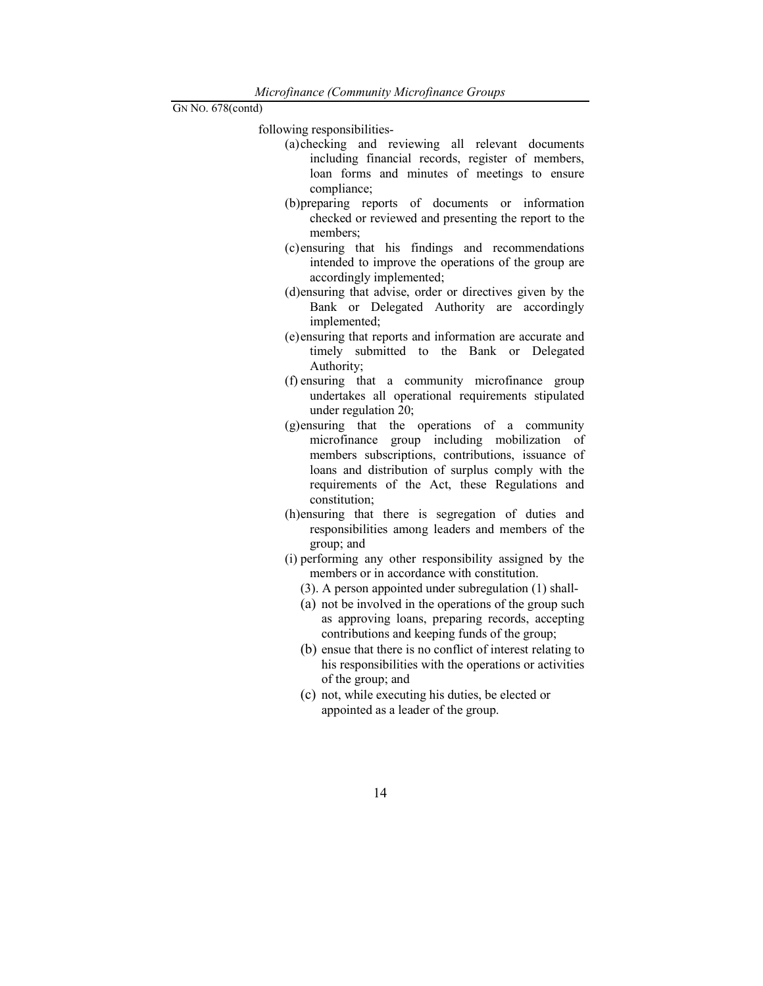following responsibilities-

- (a)checking and reviewing all relevant documents including financial records, register of members, loan forms and minutes of meetings to ensure compliance;
- (b)preparing reports of documents or information checked or reviewed and presenting the report to the members;
- (c)ensuring that his findings and recommendations intended to improve the operations of the group are accordingly implemented;
- (d)ensuring that advise, order or directives given by the Bank or Delegated Authority are accordingly implemented;
- (e)ensuring that reports and information are accurate and timely submitted to the Bank or Delegated Authority;
- (f) ensuring that a community microfinance group undertakes all operational requirements stipulated under regulation 20;
- (g)ensuring that the operations of a community microfinance group including mobilization of members subscriptions, contributions, issuance of loans and distribution of surplus comply with the requirements of the Act, these Regulations and constitution;
- (h)ensuring that there is segregation of duties and responsibilities among leaders and members of the group; and
- (i) performing any other responsibility assigned by the members or in accordance with constitution.
	- (3). A person appointed under subregulation (1) shall-
	- (a) not be involved in the operations of the group such as approving loans, preparing records, accepting contributions and keeping funds of the group;
	- (b) ensue that there is no conflict of interest relating to his responsibilities with the operations or activities of the group; and
	- (c) not, while executing his duties, be elected or appointed as a leader of the group.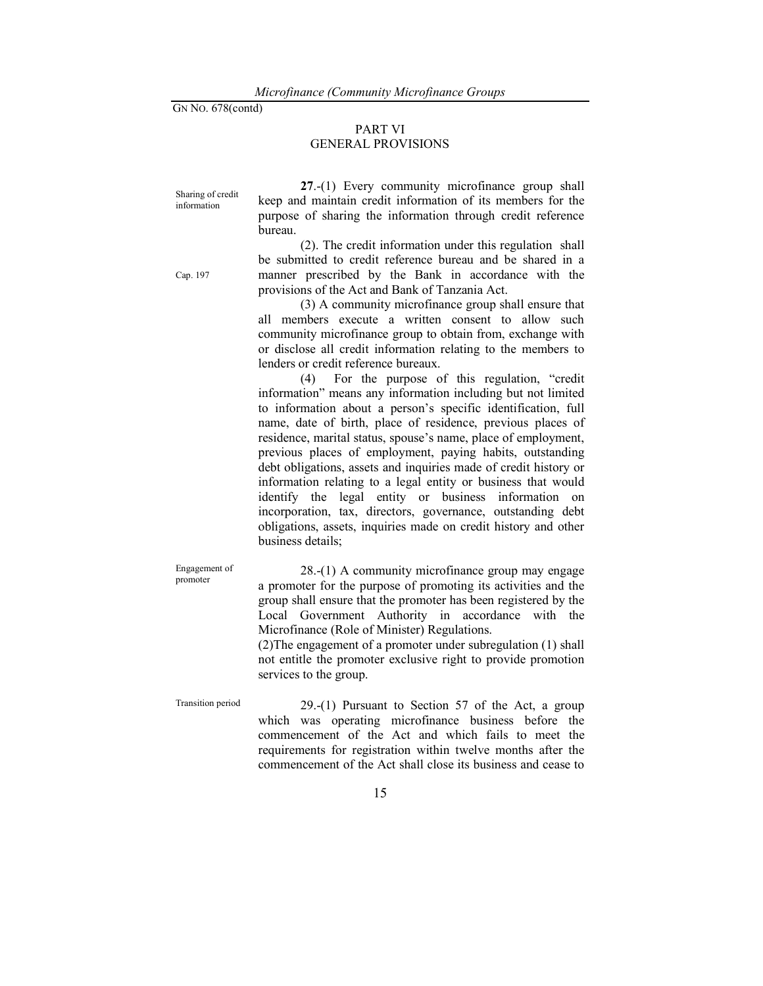#### PART VI GENERAL PROVISIONS

Sharing of credit information

Cap. 197

27.-(1) Every community microfinance group shall keep and maintain credit information of its members for the purpose of sharing the information through credit reference bureau.

 (2). The credit information under this regulation shall be submitted to credit reference bureau and be shared in a manner prescribed by the Bank in accordance with the provisions of the Act and Bank of Tanzania Act.

 (3) A community microfinance group shall ensure that all members execute a written consent to allow such community microfinance group to obtain from, exchange with or disclose all credit information relating to the members to lenders or credit reference bureaux.

 (4) For the purpose of this regulation, "credit information" means any information including but not limited to information about a person's specific identification, full name, date of birth, place of residence, previous places of residence, marital status, spouse's name, place of employment, previous places of employment, paying habits, outstanding debt obligations, assets and inquiries made of credit history or information relating to a legal entity or business that would identify the legal entity or business information on incorporation, tax, directors, governance, outstanding debt obligations, assets, inquiries made on credit history and other business details;

Engagement of promoter

 28.-(1) A community microfinance group may engage a promoter for the purpose of promoting its activities and the group shall ensure that the promoter has been registered by the Local Government Authority in accordance with the Microfinance (Role of Minister) Regulations.

(2)The engagement of a promoter under subregulation (1) shall not entitle the promoter exclusive right to provide promotion services to the group.

Transition period 29.-(1) Pursuant to Section 57 of the Act, a group which was operating microfinance business before the commencement of the Act and which fails to meet the requirements for registration within twelve months after the commencement of the Act shall close its business and cease to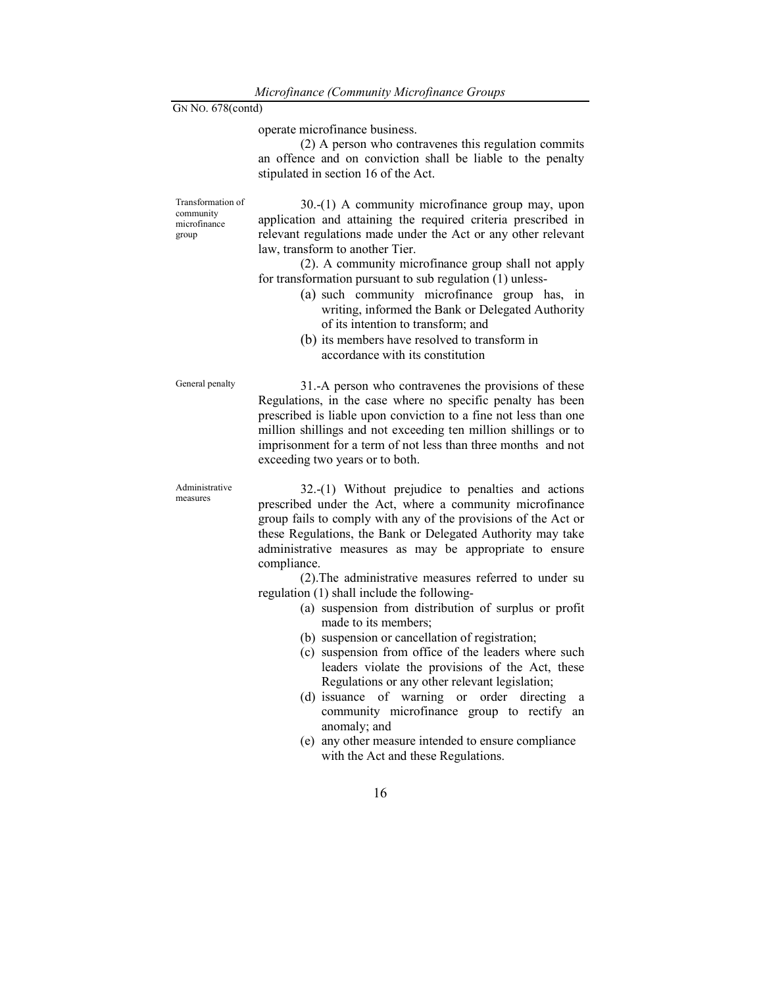operate microfinance business.

 (2) A person who contravenes this regulation commits an offence and on conviction shall be liable to the penalty stipulated in section 16 of the Act.

Transformation of community microfinance group

 30.-(1) A community microfinance group may, upon application and attaining the required criteria prescribed in relevant regulations made under the Act or any other relevant law, transform to another Tier.

 (2). A community microfinance group shall not apply for transformation pursuant to sub regulation (1) unless-

- (a) such community microfinance group has, in writing, informed the Bank or Delegated Authority of its intention to transform; and
- (b) its members have resolved to transform in accordance with its constitution

General penalty 31.-A person who contravenes the provisions of these Regulations, in the case where no specific penalty has been prescribed is liable upon conviction to a fine not less than one million shillings and not exceeding ten million shillings or to imprisonment for a term of not less than three months and not exceeding two years or to both.

Administrative measures

 32.-(1) Without prejudice to penalties and actions prescribed under the Act, where a community microfinance group fails to comply with any of the provisions of the Act or these Regulations, the Bank or Delegated Authority may take administrative measures as may be appropriate to ensure compliance.

 (2).The administrative measures referred to under su regulation (1) shall include the following-

- (a) suspension from distribution of surplus or profit made to its members;
- (b) suspension or cancellation of registration;
- (c) suspension from office of the leaders where such leaders violate the provisions of the Act, these Regulations or any other relevant legislation;
- (d) issuance of warning or order directing a community microfinance group to rectify an anomaly; and
- (e) any other measure intended to ensure compliance with the Act and these Regulations.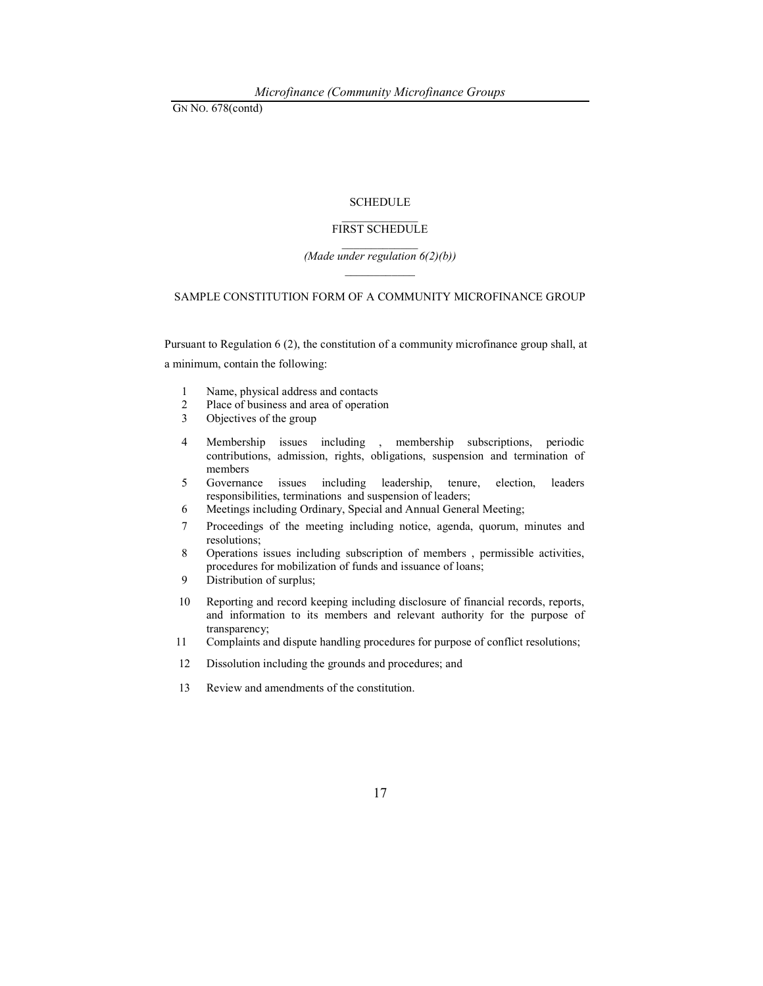#### **SCHEDULE**

#### $\frac{1}{2}$ FIRST SCHEDULE

#### $\frac{1}{2}$ (Made under regulation  $6(2)(b)$ )

#### SAMPLE CONSTITUTION FORM OF A COMMUNITY MICROFINANCE GROUP

Pursuant to Regulation 6 (2), the constitution of a community microfinance group shall, at a minimum, contain the following:

- 1 Name, physical address and contacts
- 2 Place of business and area of operation<br>3 Objectives of the group
- Objectives of the group
- 4 Membership issues including , membership subscriptions, periodic contributions, admission, rights, obligations, suspension and termination of members
- 5 Governance issues including leadership, tenure, election, leaders responsibilities, terminations and suspension of leaders;
- 6 Meetings including Ordinary, Special and Annual General Meeting;
- 7 Proceedings of the meeting including notice, agenda, quorum, minutes and resolutions;
- 8 Operations issues including subscription of members , permissible activities, procedures for mobilization of funds and issuance of loans;
- 9 Distribution of surplus;
- 10 Reporting and record keeping including disclosure of financial records, reports, and information to its members and relevant authority for the purpose of transparency;
- 11 Complaints and dispute handling procedures for purpose of conflict resolutions;
- 12 Dissolution including the grounds and procedures; and
- 13 Review and amendments of the constitution.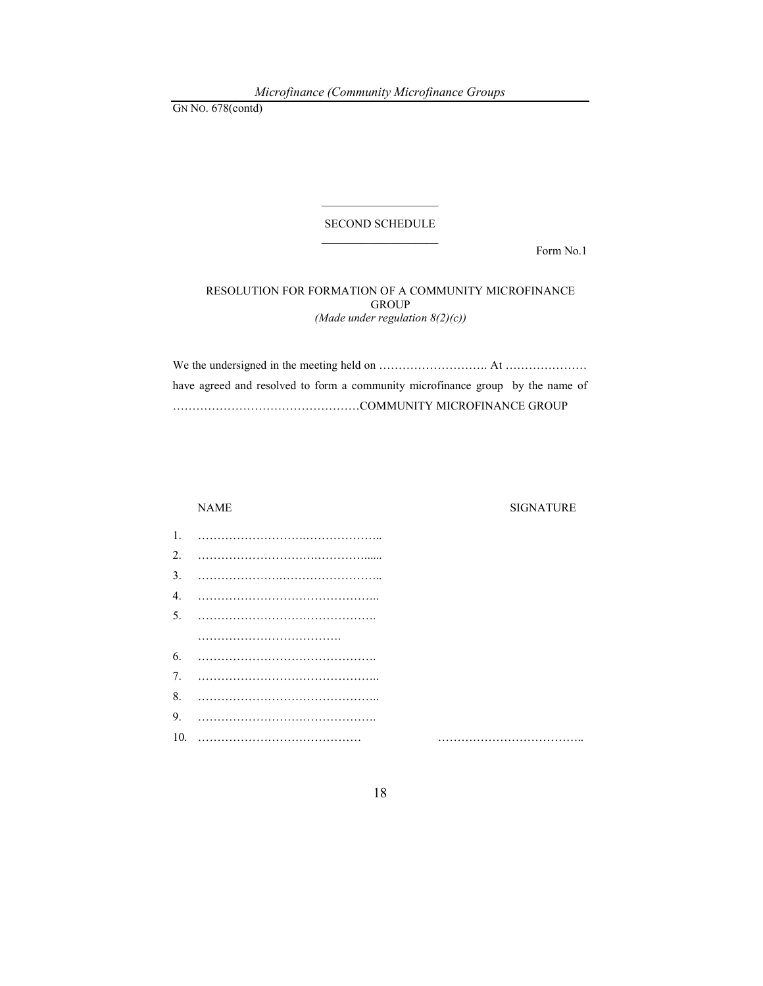Microfinance (Community Microfinance Groups

GN NO. 678(contd)

## $\mathcal{L}_\text{max}$ SECOND SCHEDULE  $\mathcal{L}_\text{max}$

Form No.1

#### RESOLUTION FOR FORMATION OF A COMMUNITY MICROFINANCE **GROUP** (Made under regulation  $8(2)(c)$ )

We the undersigned in the meeting held on ………………………. At ………………… have agreed and resolved to form a community microfinance group by the name of …………………………………………COMMUNITY MICROFINANCE GROUP

#### NAME SIGNATURE

| 1.               |  |
|------------------|--|
|                  |  |
| $\overline{3}$ . |  |
| 4.               |  |
|                  |  |
|                  |  |
| 6.               |  |
|                  |  |
| 8.               |  |
| 9.               |  |
|                  |  |

10. …………………………………… ………………………………..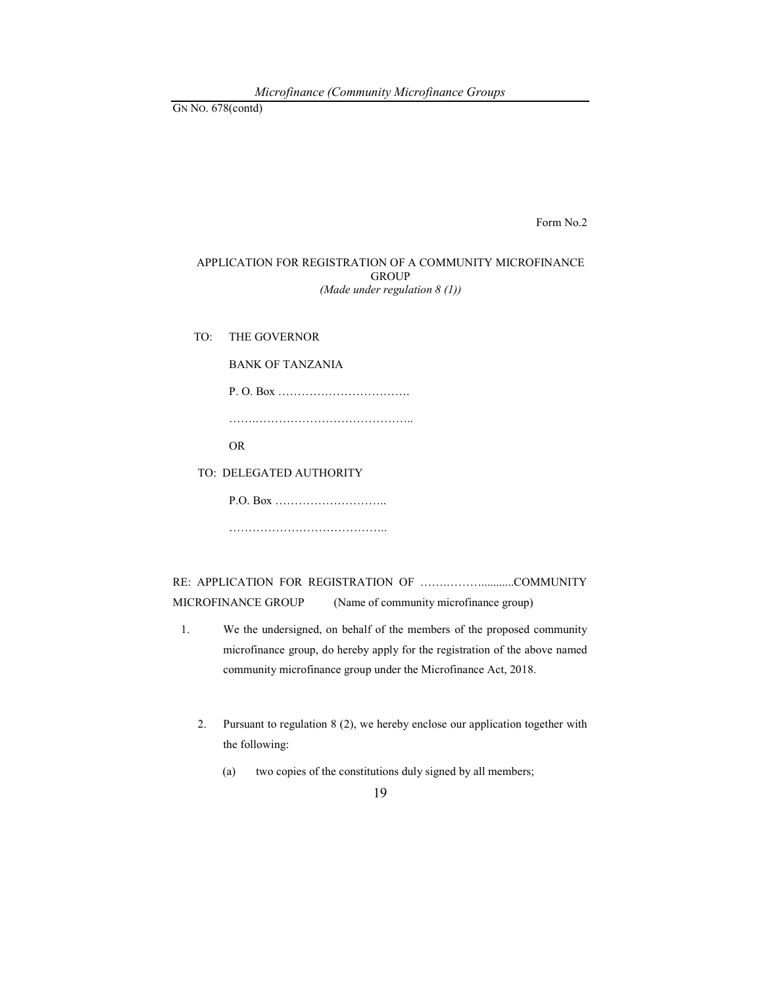Form No.2

#### APPLICATION FOR REGISTRATION OF A COMMUNITY MICROFINANCE **GROUP** (Made under regulation  $8(1)$ )

TO: THE GOVERNOR

BANK OF TANZANIA

P. O. Box ……………………………. …….………………………………….. OR

TO: DELEGATED AUTHORITY

P.O. Box ………………………..

………………………………………

RE: APPLICATION FOR REGISTRATION OF …….………...........COMMUNITY MICROFINANCE GROUP (Name of community microfinance group)

- 1. We the undersigned, on behalf of the members of the proposed community microfinance group, do hereby apply for the registration of the above named community microfinance group under the Microfinance Act, 2018.
	- 2. Pursuant to regulation 8 (2), we hereby enclose our application together with the following:
		- (a) two copies of the constitutions duly signed by all members;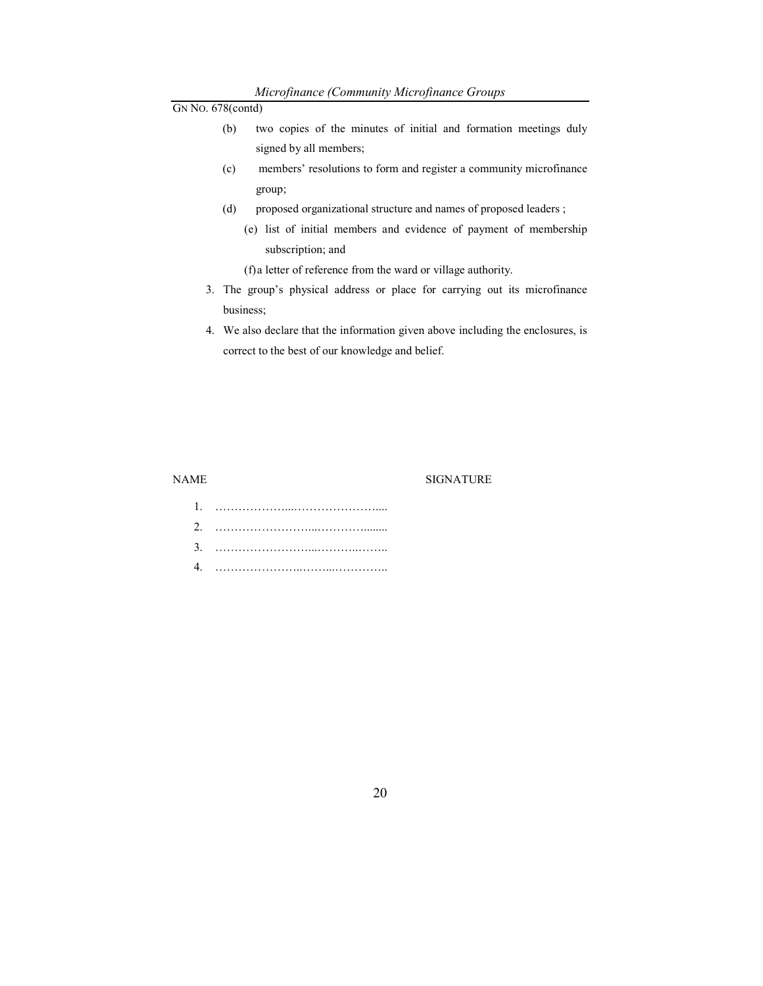- (b) two copies of the minutes of initial and formation meetings duly signed by all members;
- (c) members' resolutions to form and register a community microfinance group;
- (d) proposed organizational structure and names of proposed leaders ;
	- (e) list of initial members and evidence of payment of membership subscription; and

(f)a letter of reference from the ward or village authority.

- 3. The group's physical address or place for carrying out its microfinance business;
- 4. We also declare that the information given above including the enclosures, is correct to the best of our knowledge and belief.

#### NAME SIGNATURE

1. ………………...………………….... 2. ……………………...…………........ 3. ……………………...………..…….. 4. …………………..……...…………..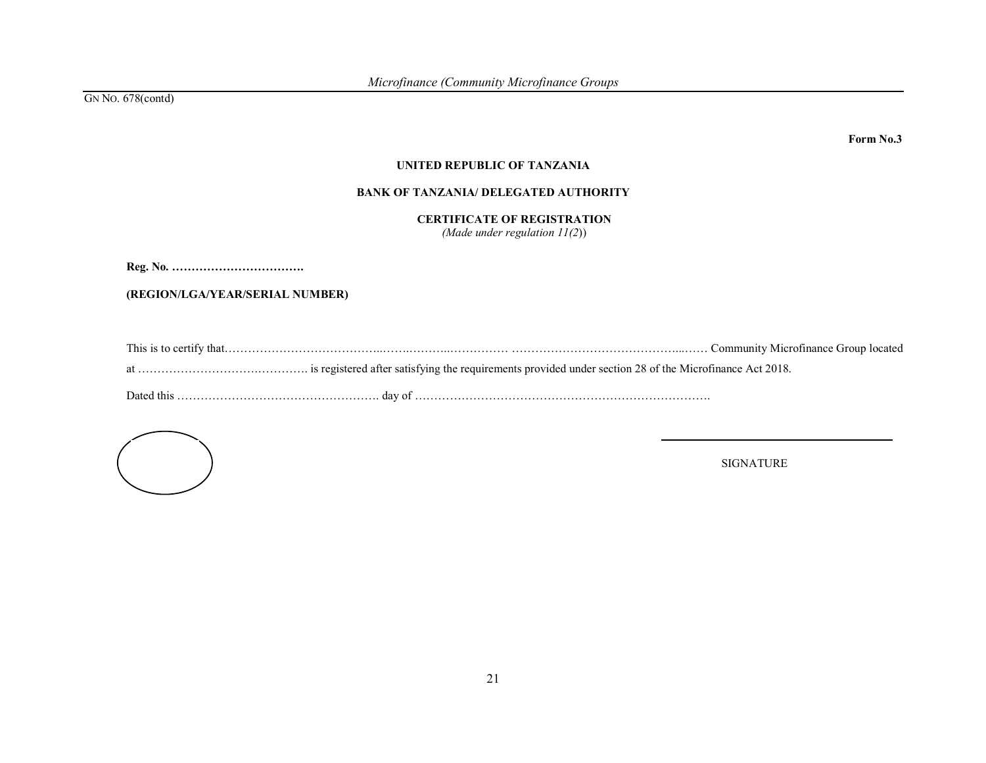Form No.3

#### UNITED REPUBLIC OF TANZANIA

#### BANK OF TANZANIA/ DELEGATED AUTHORITY

#### CERTIFICATE OF REGISTRATION

(Made under regulation  $11(2)$ )

Reg. No. …………………………….

(REGION/LGA/YEAR/SERIAL NUMBER)

| This is<br>. `ommunit¤<br>∵thaı.<br>ətinanc<br>-NHCF<br>тu.<br>. |
|------------------------------------------------------------------|
|------------------------------------------------------------------|

at ………………………….…………. is registered after satisfying the requirements provided under section 28 of the Microfinance Act 2018.

Dated this ……………………………………………. day of ………………………………………………………………….

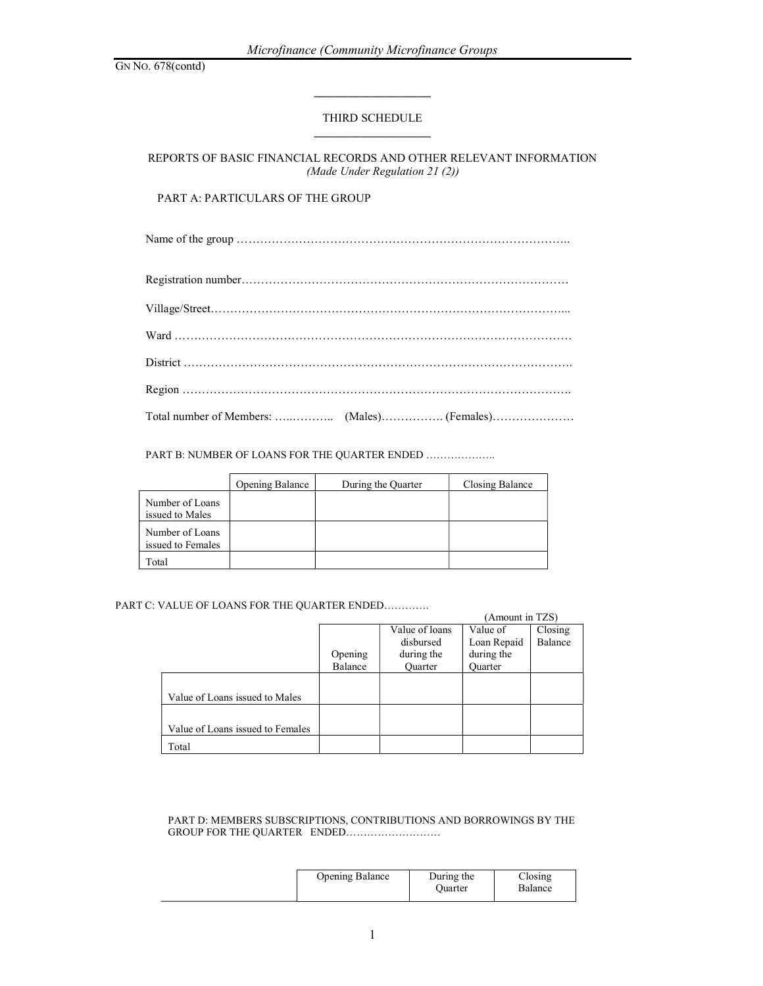## THIRD SCHEDULE

REPORTS OF BASIC FINANCIAL RECORDS AND OTHER RELEVANT INFORMATION (Made Under Regulation 21 (2))

## PART A: PARTICULARS OF THE GROUP

Name of the group …………………………………………………………………………..

PART B: NUMBER OF LOANS FOR THE QUARTER ENDED ....................

|                                      | Opening Balance | During the Quarter | Closing Balance |
|--------------------------------------|-----------------|--------------------|-----------------|
| Number of Loans<br>issued to Males   |                 |                    |                 |
| Number of Loans<br>issued to Females |                 |                    |                 |
| Total                                |                 |                    |                 |

#### PART C: VALUE OF LOANS FOR THE QUARTER ENDED………….

|                                  |         |                | (Amount in TZS) |         |
|----------------------------------|---------|----------------|-----------------|---------|
|                                  |         | Value of loans | Value of        | Closing |
|                                  |         | disbursed      | Loan Repaid     | Balance |
|                                  | Opening | during the     | during the      |         |
|                                  | Balance | <b>Ouarter</b> | <b>Ouarter</b>  |         |
|                                  |         |                |                 |         |
| Value of Loans issued to Males   |         |                |                 |         |
|                                  |         |                |                 |         |
| Value of Loans issued to Females |         |                |                 |         |
| Total                            |         |                |                 |         |

#### PART D: MEMBERS SUBSCRIPTIONS, CONTRIBUTIONS AND BORROWINGS BY THE GROUP FOR THE QUARTER ENDED………………………

| <b>Opening Balance</b> | During the | Closing |
|------------------------|------------|---------|
|                        | Ouarter    | Balance |
|                        |            |         |